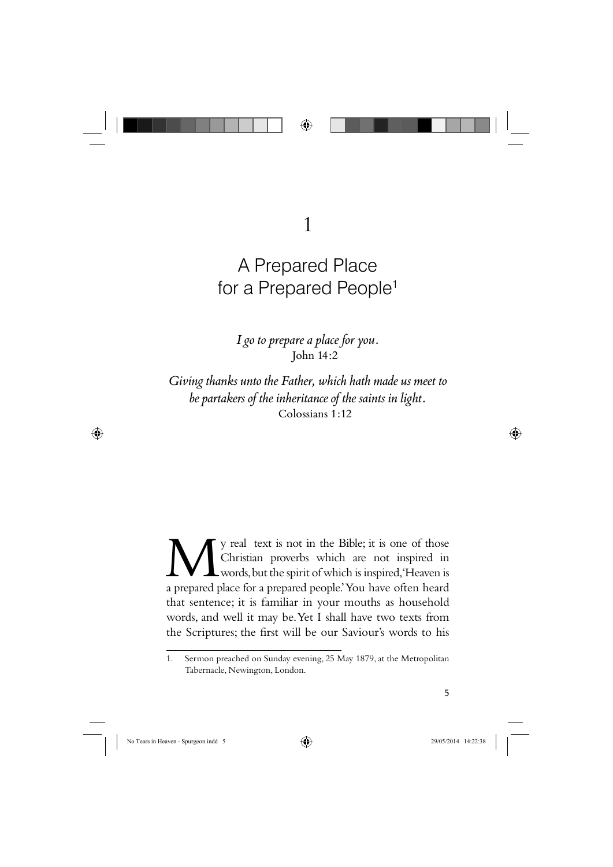

1

# A Prepared Place for a Prepared People<sup>1</sup>

*I go to prepare a place for you.* John 14:2

*Giving thanks unto the Father, which hath made us meet to be partakers of the inheritance of the saints in light.* Colossians 1:12

We real text is not in the Bible; it is one of those<br>Christian proverbs which are not inspired in<br>a prepared place for a prepared people' You have often heard Christian proverbs which are not inspired in words, but the spirit of which is inspired, 'Heaven is a prepared place for a prepared people.' You have often heard that sentence; it is familiar in your mouths as household words, and well it may be. Yet I shall have two texts from the Scriptures; the first will be our Saviour's words to his

<sup>1.</sup> Sermon preached on Sunday evening, 25 May 1879, at the Metropolitan Tabernacle, Newington, London.



 $\bigoplus$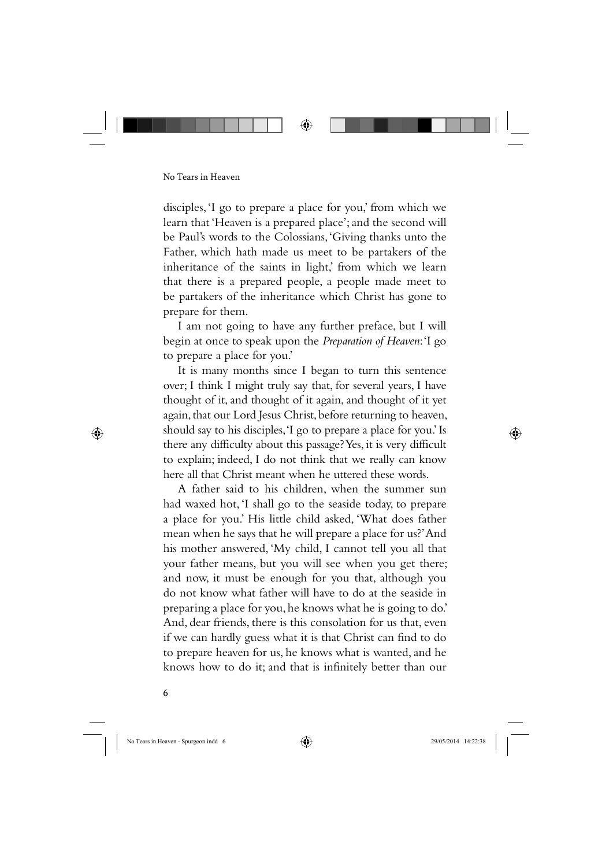disciples, 'I go to prepare a place for you,' from which we learn that 'Heaven is a prepared place'; and the second will be Paul's words to the Colossians, 'Giving thanks unto the Father, which hath made us meet to be partakers of the inheritance of the saints in light,' from which we learn that there is a prepared people, a people made meet to be partakers of the inheritance which Christ has gone to prepare for them.

I am not going to have any further preface, but I will begin at once to speak upon the *Preparation of Heaven*: 'I go to prepare a place for you.'

It is many months since I began to turn this sentence over; I think I might truly say that, for several years, I have thought of it, and thought of it again, and thought of it yet again, that our Lord Jesus Christ, before returning to heaven, should say to his disciples, 'I go to prepare a place for you.' Is there any difficulty about this passage? Yes, it is very difficult to explain; indeed, I do not think that we really can know here all that Christ meant when he uttered these words.

A father said to his children, when the summer sun had waxed hot, 'I shall go to the seaside today, to prepare a place for you.' His little child asked, 'What does father mean when he says that he will prepare a place for us?' And his mother answered, 'My child, I cannot tell you all that your father means, but you will see when you get there; and now, it must be enough for you that, although you do not know what father will have to do at the seaside in preparing a place for you, he knows what he is going to do.' And, dear friends, there is this consolation for us that, even if we can hardly guess what it is that Christ can find to do to prepare heaven for us, he knows what is wanted, and he knows how to do it; and that is infinitely better than our

6

⊕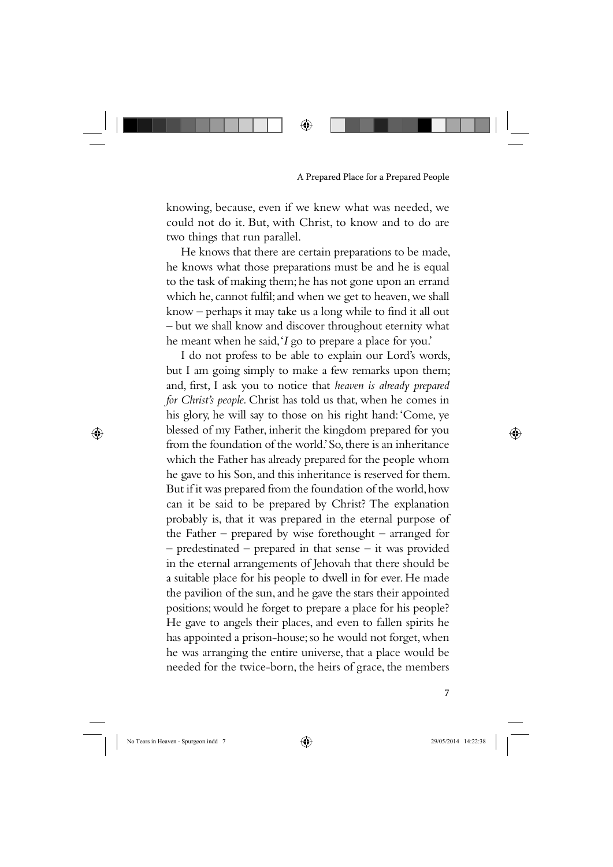knowing, because, even if we knew what was needed, we could not do it. But, with Christ, to know and to do are two things that run parallel.

⊕

He knows that there are certain preparations to be made, he knows what those preparations must be and he is equal to the task of making them; he has not gone upon an errand which he, cannot fulfil; and when we get to heaven, we shall know – perhaps it may take us a long while to find it all out – but we shall know and discover throughout eternity what he meant when he said, '*I* go to prepare a place for you.'

I do not profess to be able to explain our Lord's words, but I am going simply to make a few remarks upon them; and, first, I ask you to notice that *heaven is already prepared for Christ's people.* Christ has told us that, when he comes in his glory, he will say to those on his right hand: 'Come, ye blessed of my Father, inherit the kingdom prepared for you from the foundation of the world.' So, there is an inheritance which the Father has already prepared for the people whom he gave to his Son, and this inheritance is reserved for them. But if it was prepared from the foundation of the world, how can it be said to be prepared by Christ? The explanation probably is, that it was prepared in the eternal purpose of the Father – prepared by wise forethought – arranged for – predestinated – prepared in that sense – it was provided in the eternal arrangements of Jehovah that there should be a suitable place for his people to dwell in for ever. He made the pavilion of the sun, and he gave the stars their appointed positions; would he forget to prepare a place for his people? He gave to angels their places, and even to fallen spirits he has appointed a prison-house; so he would not forget, when he was arranging the entire universe, that a place would be needed for the twice-born, the heirs of grace, the members

⊕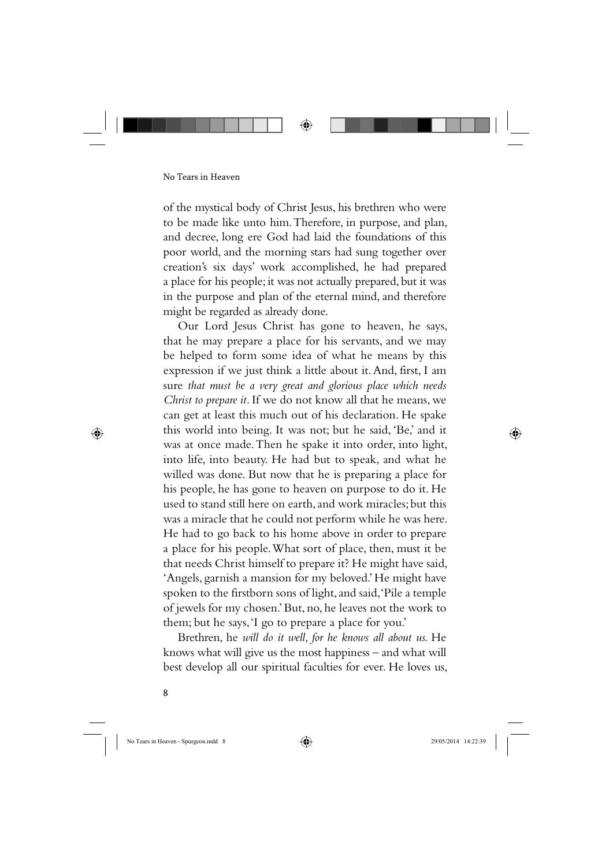

of the mystical body of Christ Jesus, his brethren who were to be made like unto him. Therefore, in purpose, and plan, and decree, long ere God had laid the foundations of this poor world, and the morning stars had sung together over creation's six days' work accomplished, he had prepared a place for his people; it was not actually prepared, but it was in the purpose and plan of the eternal mind, and therefore might be regarded as already done.

Our Lord Jesus Christ has gone to heaven, he says, that he may prepare a place for his servants, and we may be helped to form some idea of what he means by this expression if we just think a little about it. And, first, I am sure *that must be a very great and glorious place which needs Christ to prepare it.* If we do not know all that he means, we can get at least this much out of his declaration. He spake this world into being. It was not; but he said, 'Be,' and it was at once made. Then he spake it into order, into light, into life, into beauty. He had but to speak, and what he willed was done. But now that he is preparing a place for his people, he has gone to heaven on purpose to do it. He used to stand still here on earth, and work miracles; but this was a miracle that he could not perform while he was here. He had to go back to his home above in order to prepare a place for his people. What sort of place, then, must it be that needs Christ himself to prepare it? He might have said, 'Angels, garnish a mansion for my beloved.' He might have spoken to the firstborn sons of light, and said, 'Pile a temple of jewels for my chosen.' But, no, he leaves not the work to them; but he says, 'I go to prepare a place for you.'

Brethren, he *will do it well, for he knows all about us.* He knows what will give us the most happiness – and what will best develop all our spiritual faculties for ever. He loves us,

8

⊕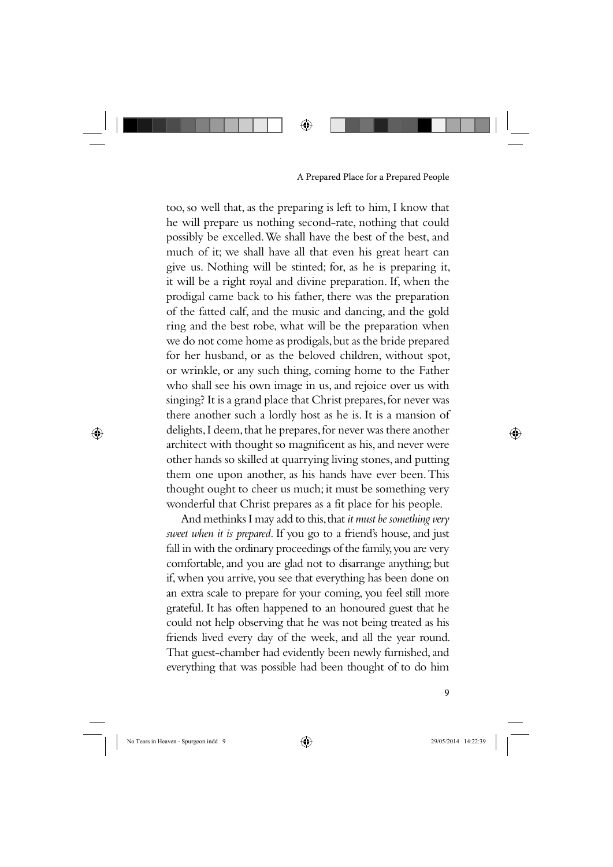⊕

#### A Prepared Place for a Prepared People

too, so well that, as the preparing is left to him, I know that he will prepare us nothing second-rate, nothing that could possibly be excelled. We shall have the best of the best, and much of it; we shall have all that even his great heart can give us. Nothing will be stinted; for, as he is preparing it, it will be a right royal and divine preparation. If, when the prodigal came back to his father, there was the preparation of the fatted calf, and the music and dancing, and the gold ring and the best robe, what will be the preparation when we do not come home as prodigals, but as the bride prepared for her husband, or as the beloved children, without spot, or wrinkle, or any such thing, coming home to the Father who shall see his own image in us, and rejoice over us with singing? It is a grand place that Christ prepares, for never was there another such a lordly host as he is. It is a mansion of delights, I deem, that he prepares, for never was there another architect with thought so magnificent as his, and never were other hands so skilled at quarrying living stones, and putting them one upon another, as his hands have ever been. This thought ought to cheer us much; it must be something very wonderful that Christ prepares as a fit place for his people.

And methinks I may add to this, that *it must be something very sweet when it is prepared.* If you go to a friend's house, and just fall in with the ordinary proceedings of the family, you are very comfortable, and you are glad not to disarrange anything; but if, when you arrive, you see that everything has been done on an extra scale to prepare for your coming, you feel still more grateful. It has often happened to an honoured guest that he could not help observing that he was not being treated as his friends lived every day of the week, and all the year round. That guest-chamber had evidently been newly furnished, and everything that was possible had been thought of to do him

⊕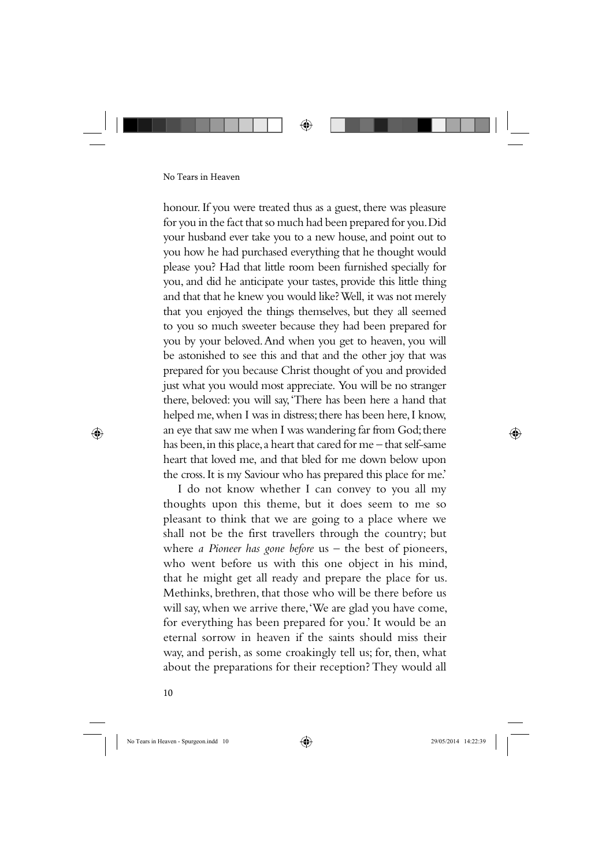honour. If you were treated thus as a guest, there was pleasure for you in the fact that so much had been prepared for you. Did your husband ever take you to a new house, and point out to you how he had purchased everything that he thought would please you? Had that little room been furnished specially for you, and did he anticipate your tastes, provide this little thing and that that he knew you would like? Well, it was not merely that you enjoyed the things themselves, but they all seemed to you so much sweeter because they had been prepared for you by your beloved. And when you get to heaven, you will be astonished to see this and that and the other joy that was prepared for you because Christ thought of you and provided just what you would most appreciate. You will be no stranger there, beloved: you will say, 'There has been here a hand that helped me, when I was in distress; there has been here, I know, an eye that saw me when I was wandering far from God; there has been, in this place, a heart that cared for me – that self-same heart that loved me, and that bled for me down below upon the cross. It is my Saviour who has prepared this place for me.'

I do not know whether I can convey to you all my thoughts upon this theme, but it does seem to me so pleasant to think that we are going to a place where we shall not be the first travellers through the country; but where *a Pioneer has gone before* us – the best of pioneers, who went before us with this one object in his mind, that he might get all ready and prepare the place for us. Methinks, brethren, that those who will be there before us will say, when we arrive there, 'We are glad you have come, for everything has been prepared for you.' It would be an eternal sorrow in heaven if the saints should miss their way, and perish, as some croakingly tell us; for, then, what about the preparations for their reception? They would all

10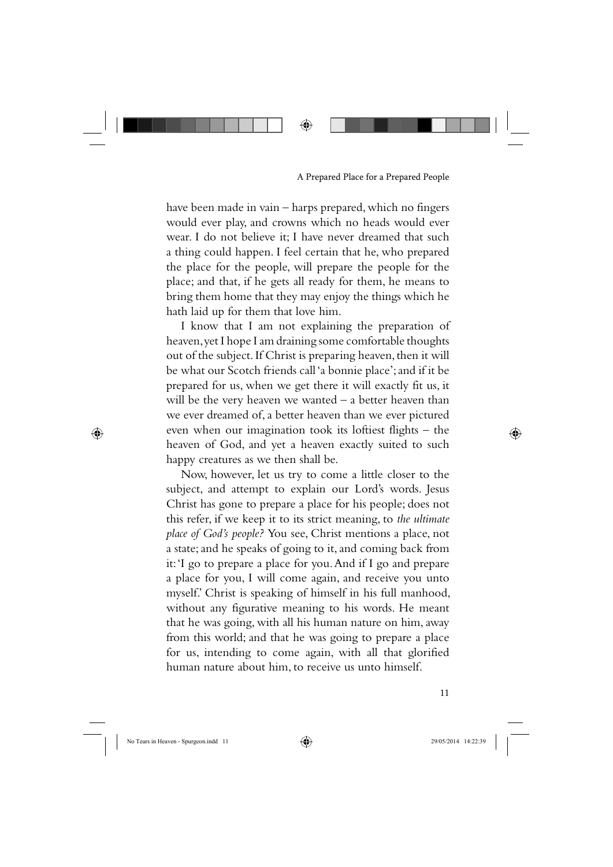have been made in vain – harps prepared, which no fingers would ever play, and crowns which no heads would ever wear. I do not believe it; I have never dreamed that such a thing could happen. I feel certain that he, who prepared the place for the people, will prepare the people for the place; and that, if he gets all ready for them, he means to bring them home that they may enjoy the things which he hath laid up for them that love him.

I know that I am not explaining the preparation of heaven, yet I hope I am draining some comfortable thoughts out of the subject. If Christ is preparing heaven, then it will be what our Scotch friends call 'a bonnie place'; and if it be prepared for us, when we get there it will exactly fit us, it will be the very heaven we wanted – a better heaven than we ever dreamed of, a better heaven than we ever pictured even when our imagination took its loftiest flights – the heaven of God, and yet a heaven exactly suited to such happy creatures as we then shall be.

Now, however, let us try to come a little closer to the subject, and attempt to explain our Lord's words. Jesus Christ has gone to prepare a place for his people; does not this refer, if we keep it to its strict meaning, to *the ultimate place of God's people?* You see, Christ mentions a place, not a state; and he speaks of going to it, and coming back from it: 'I go to prepare a place for you. And if I go and prepare a place for you, I will come again, and receive you unto myself.' Christ is speaking of himself in his full manhood, without any figurative meaning to his words. He meant that he was going, with all his human nature on him, away from this world; and that he was going to prepare a place for us, intending to come again, with all that glorified human nature about him, to receive us unto himself.

⊕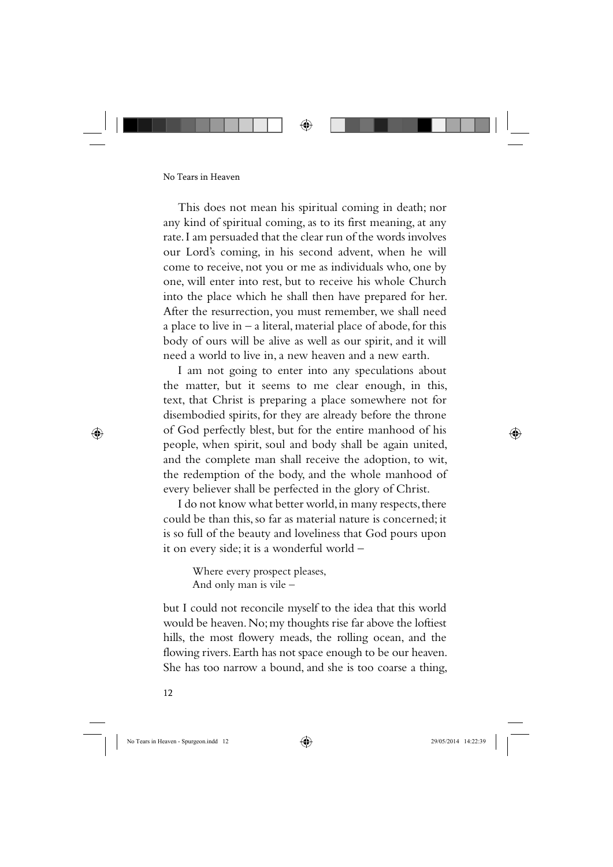This does not mean his spiritual coming in death; nor any kind of spiritual coming, as to its first meaning, at any rate. I am persuaded that the clear run of the words involves our Lord's coming, in his second advent, when he will come to receive, not you or me as individuals who, one by one, will enter into rest, but to receive his whole Church into the place which he shall then have prepared for her. After the resurrection, you must remember, we shall need a place to live in  $-$  a literal, material place of abode, for this body of ours will be alive as well as our spirit, and it will need a world to live in, a new heaven and a new earth.

I am not going to enter into any speculations about the matter, but it seems to me clear enough, in this, text, that Christ is preparing a place somewhere not for disembodied spirits, for they are already before the throne of God perfectly blest, but for the entire manhood of his people, when spirit, soul and body shall be again united, and the complete man shall receive the adoption, to wit, the redemption of the body, and the whole manhood of every believer shall be perfected in the glory of Christ.

I do not know what better world, in many respects, there could be than this, so far as material nature is concerned; it is so full of the beauty and loveliness that God pours upon it on every side; it is a wonderful world –

> Where every prospect pleases, And only man is vile –

but I could not reconcile myself to the idea that this world would be heaven. No; my thoughts rise far above the loftiest hills, the most flowery meads, the rolling ocean, and the flowing rivers. Earth has not space enough to be our heaven. She has too narrow a bound, and she is too coarse a thing,

12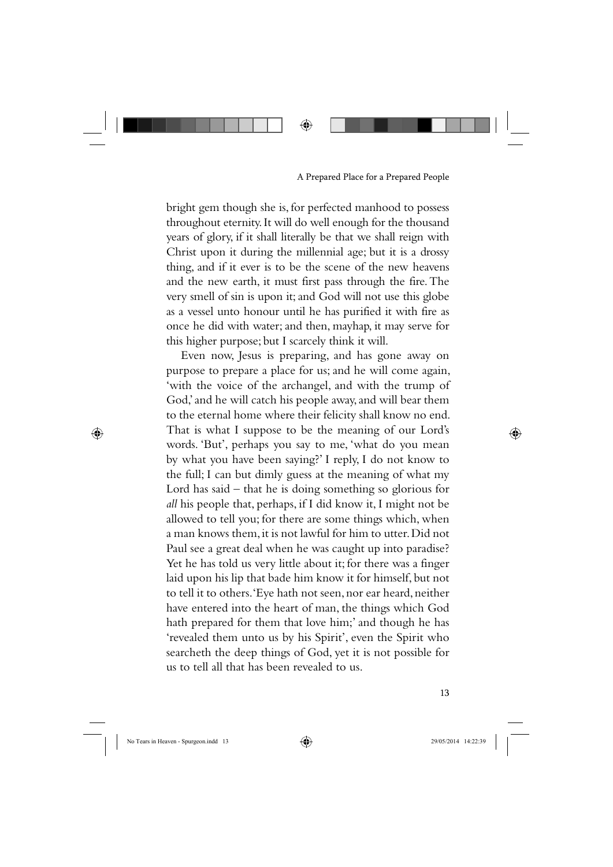bright gem though she is, for perfected manhood to possess throughout eternity. It will do well enough for the thousand years of glory, if it shall literally be that we shall reign with Christ upon it during the millennial age; but it is a drossy thing, and if it ever is to be the scene of the new heavens and the new earth, it must first pass through the fire. The very smell of sin is upon it; and God will not use this globe as a vessel unto honour until he has purified it with fire as once he did with water; and then, mayhap, it may serve for this higher purpose; but I scarcely think it will.

Even now, Jesus is preparing, and has gone away on purpose to prepare a place for us; and he will come again, 'with the voice of the archangel, and with the trump of God,' and he will catch his people away, and will bear them to the eternal home where their felicity shall know no end. That is what I suppose to be the meaning of our Lord's words. 'But', perhaps you say to me, 'what do you mean by what you have been saying?' I reply, I do not know to the full; I can but dimly guess at the meaning of what my Lord has said  $-$  that he is doing something so glorious for *all* his people that, perhaps, if I did know it, I might not be allowed to tell you; for there are some things which, when a man knows them, it is not lawful for him to utter. Did not Paul see a great deal when he was caught up into paradise? Yet he has told us very little about it; for there was a finger laid upon his lip that bade him know it for himself, but not to tell it to others. 'Eye hath not seen, nor ear heard, neither have entered into the heart of man, the things which God hath prepared for them that love him;' and though he has 'revealed them unto us by his Spirit', even the Spirit who searcheth the deep things of God, yet it is not possible for us to tell all that has been revealed to us.

⊕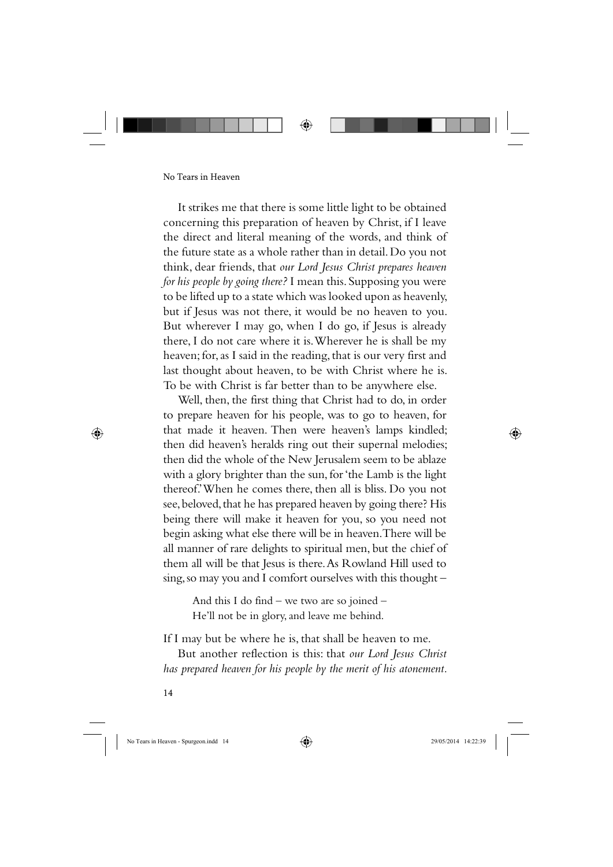It strikes me that there is some little light to be obtained concerning this preparation of heaven by Christ, if I leave the direct and literal meaning of the words, and think of the future state as a whole rather than in detail. Do you not think, dear friends, that *our Lord Jesus Christ prepares heaven for his people by going there?* I mean this. Supposing you were to be lifted up to a state which was looked upon as heavenly, but if Jesus was not there, it would be no heaven to you. But wherever I may go, when I do go, if Jesus is already there, I do not care where it is. Wherever he is shall be my heaven; for, as I said in the reading, that is our very first and last thought about heaven, to be with Christ where he is. To be with Christ is far better than to be anywhere else.

Well, then, the first thing that Christ had to do, in order to prepare heaven for his people, was to go to heaven, for that made it heaven. Then were heaven's lamps kindled; then did heaven's heralds ring out their supernal melodies; then did the whole of the New Jerusalem seem to be ablaze with a glory brighter than the sun, for 'the Lamb is the light thereof.' When he comes there, then all is bliss. Do you not see, beloved, that he has prepared heaven by going there? His being there will make it heaven for you, so you need not begin asking what else there will be in heaven. There will be all manner of rare delights to spiritual men, but the chief of them all will be that Jesus is there. As Rowland Hill used to sing, so may you and I comfort ourselves with this thought –

And this I do find – we two are so joined – He'll not be in glory, and leave me behind.

If I may but be where he is, that shall be heaven to me.

But another reflection is this: that *our Lord Jesus Christ has prepared heaven for his people by the merit of his atonement.* 

14

⊕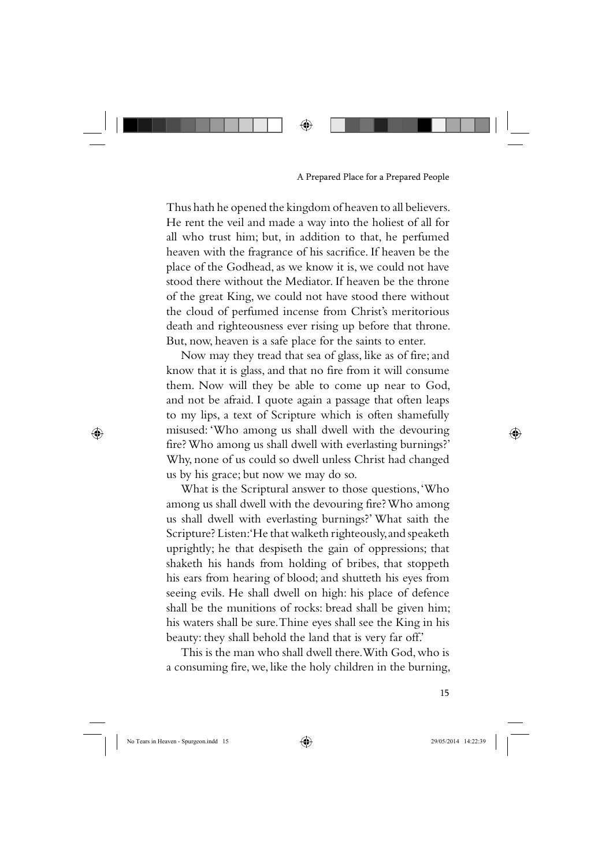Thus hath he opened the kingdom of heaven to all believers. He rent the veil and made a way into the holiest of all for all who trust him; but, in addition to that, he perfumed heaven with the fragrance of his sacrifice. If heaven be the place of the Godhead, as we know it is, we could not have stood there without the Mediator. If heaven be the throne of the great King, we could not have stood there without the cloud of perfumed incense from Christ's meritorious death and righteousness ever rising up before that throne. But, now, heaven is a safe place for the saints to enter.

Now may they tread that sea of glass, like as of fire; and know that it is glass, and that no fire from it will consume them. Now will they be able to come up near to God, and not be afraid. I quote again a passage that often leaps to my lips, a text of Scripture which is often shamefully misused: 'Who among us shall dwell with the devouring fire? Who among us shall dwell with everlasting burnings?' Why, none of us could so dwell unless Christ had changed us by his grace; but now we may do so.

What is the Scriptural answer to those questions, 'Who among us shall dwell with the devouring fire? Who among us shall dwell with everlasting burnings?' What saith the Scripture? Listen: 'He that walketh righteously, and speaketh uprightly; he that despiseth the gain of oppressions; that shaketh his hands from holding of bribes, that stoppeth his ears from hearing of blood; and shutteth his eyes from seeing evils. He shall dwell on high: his place of defence shall be the munitions of rocks: bread shall be given him; his waters shall be sure. Thine eyes shall see the King in his beauty: they shall behold the land that is very far off.'

This is the man who shall dwell there. With God, who is a consuming fire, we, like the holy children in the burning,

⊕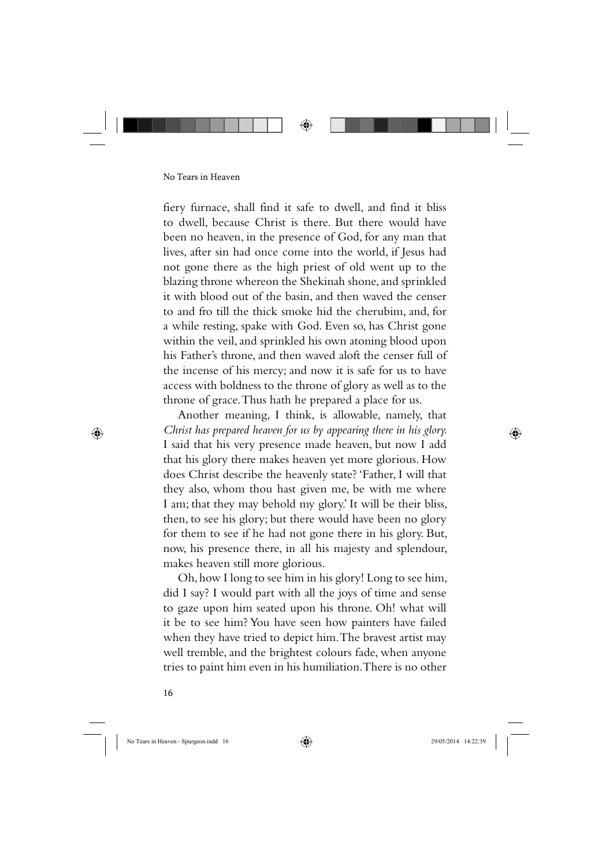

fiery furnace, shall find it safe to dwell, and find it bliss to dwell, because Christ is there. But there would have been no heaven, in the presence of God, for any man that lives, after sin had once come into the world, if Jesus had not gone there as the high priest of old went up to the blazing throne whereon the Shekinah shone, and sprinkled it with blood out of the basin, and then waved the censer to and fro till the thick smoke hid the cherubim, and, for a while resting, spake with God. Even so, has Christ gone within the veil, and sprinkled his own atoning blood upon his Father's throne, and then waved aloft the censer full of the incense of his mercy; and now it is safe for us to have access with boldness to the throne of glory as well as to the throne of grace. Thus hath he prepared a place for us.

Another meaning, I think, is allowable, namely, that *Christ has prepared heaven for us by appearing there in his glory.*  I said that his very presence made heaven, but now I add that his glory there makes heaven yet more glorious. How does Christ describe the heavenly state? 'Father, I will that they also, whom thou hast given me, be with me where I am; that they may behold my glory.' It will be their bliss, then, to see his glory; but there would have been no glory for them to see if he had not gone there in his glory. But, now, his presence there, in all his majesty and splendour, makes heaven still more glorious.

Oh, how I long to see him in his glory! Long to see him, did I say? I would part with all the joys of time and sense to gaze upon him seated upon his throne. Oh! what will it be to see him? You have seen how painters have failed when they have tried to depict him. The bravest artist may well tremble, and the brightest colours fade, when anyone tries to paint him even in his humiliation. There is no other

16

⊕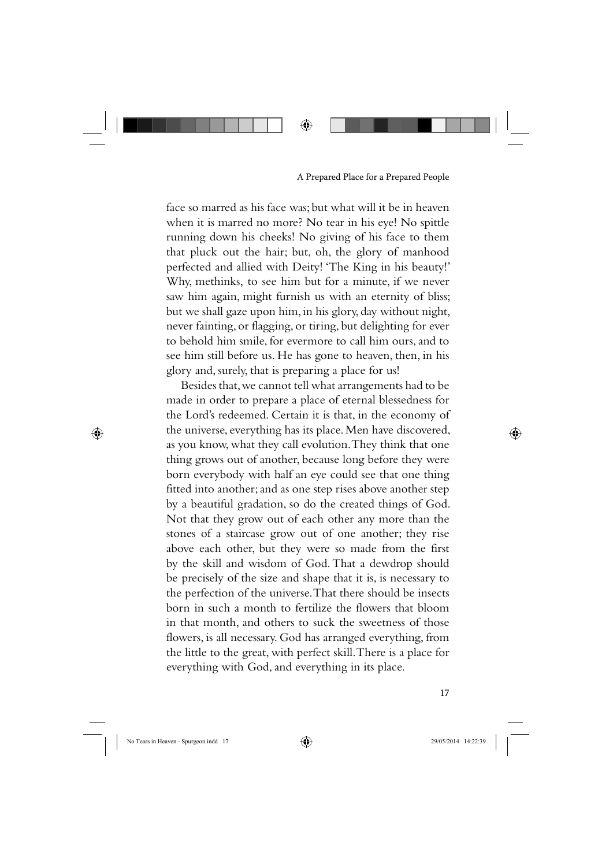face so marred as his face was; but what will it be in heaven when it is marred no more? No tear in his eye! No spittle running down his cheeks! No giving of his face to them that pluck out the hair; but, oh, the glory of manhood perfected and allied with Deity! 'The King in his beauty!' Why, methinks, to see him but for a minute, if we never saw him again, might furnish us with an eternity of bliss; but we shall gaze upon him, in his glory, day without night, never fainting, or flagging, or tiring, but delighting for ever to behold him smile, for evermore to call him ours, and to see him still before us. He has gone to heaven, then, in his glory and, surely, that is preparing a place for us!

⊕

Besides that, we cannot tell what arrangements had to be made in order to prepare a place of eternal blessedness for the Lord's redeemed. Certain it is that, in the economy of the universe, everything has its place. Men have discovered, as you know, what they call evolution. They think that one thing grows out of another, because long before they were born everybody with half an eye could see that one thing fitted into another; and as one step rises above another step by a beautiful gradation, so do the created things of God. Not that they grow out of each other any more than the stones of a staircase grow out of one another; they rise above each other, but they were so made from the first by the skill and wisdom of God. That a dewdrop should be precisely of the size and shape that it is, is necessary to the perfection of the universe. That there should be insects born in such a month to fertilize the flowers that bloom in that month, and others to suck the sweetness of those flowers, is all necessary. God has arranged everything, from the little to the great, with perfect skill. There is a place for everything with God, and everything in its place.

17

⊕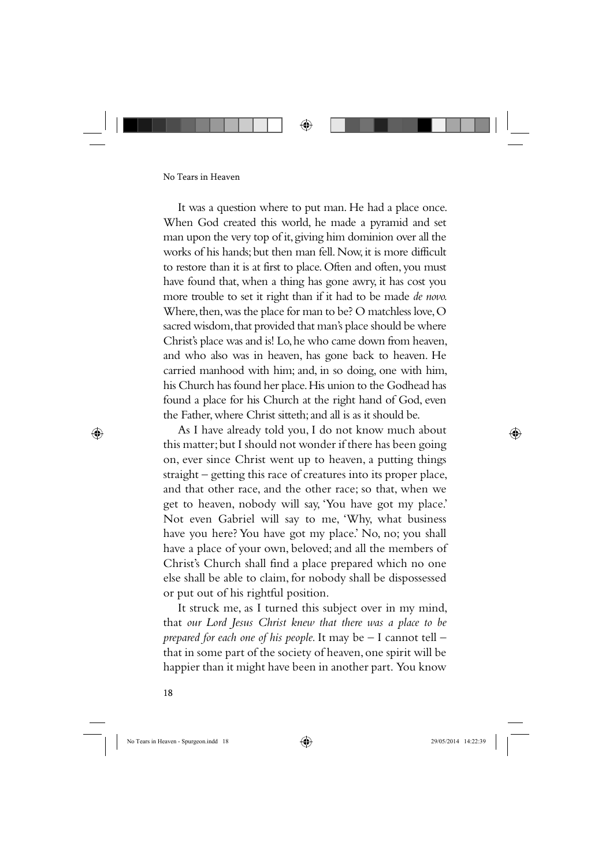It was a question where to put man. He had a place once. When God created this world, he made a pyramid and set man upon the very top of it, giving him dominion over all the works of his hands; but then man fell. Now, it is more difficult to restore than it is at first to place. Often and often, you must have found that, when a thing has gone awry, it has cost you more trouble to set it right than if it had to be made *de novo.*  Where, then, was the place for man to be? O matchless love, O sacred wisdom, that provided that man's place should be where Christ's place was and is! Lo, he who came down from heaven, and who also was in heaven, has gone back to heaven. He carried manhood with him; and, in so doing, one with him, his Church has found her place. His union to the Godhead has found a place for his Church at the right hand of God, even the Father, where Christ sitteth; and all is as it should be.

As I have already told you, I do not know much about this matter; but I should not wonder if there has been going on, ever since Christ went up to heaven, a putting things straight – getting this race of creatures into its proper place, and that other race, and the other race; so that, when we get to heaven, nobody will say, 'You have got my place.' Not even Gabriel will say to me, 'Why, what business have you here? You have got my place.' No, no; you shall have a place of your own, beloved; and all the members of Christ's Church shall find a place prepared which no one else shall be able to claim, for nobody shall be dispossessed or put out of his rightful position.

It struck me, as I turned this subject over in my mind, that *our Lord Jesus Christ knew that there was a place to be prepared for each one of his people.* It may be – I cannot tell – that in some part of the society of heaven, one spirit will be happier than it might have been in another part. You know

18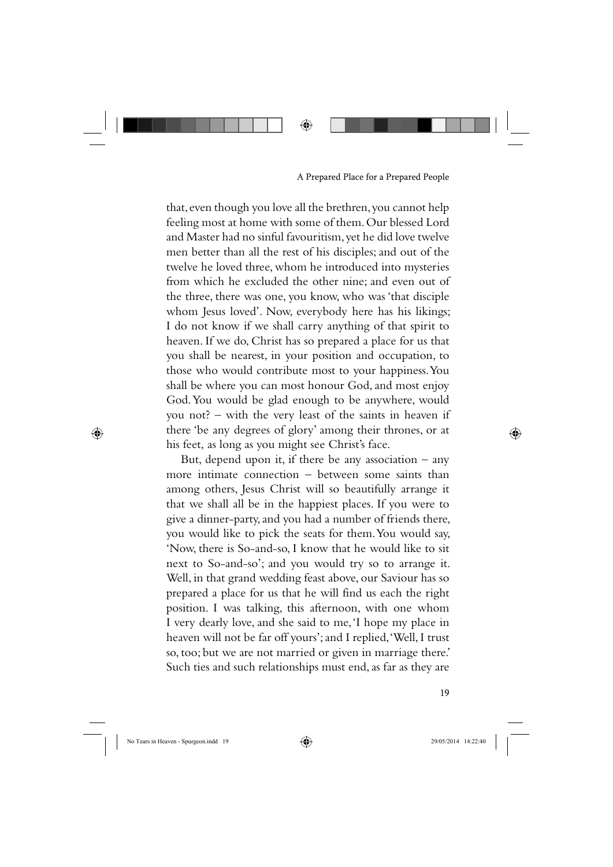that, even though you love all the brethren, you cannot help feeling most at home with some of them. Our blessed Lord and Master had no sinful favouritism, yet he did love twelve men better than all the rest of his disciples; and out of the twelve he loved three, whom he introduced into mysteries from which he excluded the other nine; and even out of the three, there was one, you know, who was 'that disciple whom Jesus loved'. Now, everybody here has his likings; I do not know if we shall carry anything of that spirit to heaven. If we do, Christ has so prepared a place for us that you shall be nearest, in your position and occupation, to those who would contribute most to your happiness. You shall be where you can most honour God, and most enjoy God. You would be glad enough to be anywhere, would you not? – with the very least of the saints in heaven if there 'be any degrees of glory' among their thrones, or at his feet, as long as you might see Christ's face.

But, depend upon it, if there be any association  $-$  any more intimate connection – between some saints than among others, Jesus Christ will so beautifully arrange it that we shall all be in the happiest places. If you were to give a dinner-party, and you had a number of friends there, you would like to pick the seats for them. You would say, 'Now, there is So-and-so, I know that he would like to sit next to So-and-so'; and you would try so to arrange it. Well, in that grand wedding feast above, our Saviour has so prepared a place for us that he will find us each the right position. I was talking, this afternoon, with one whom I very dearly love, and she said to me, 'I hope my place in heaven will not be far off yours'; and I replied, 'Well, I trust so, too; but we are not married or given in marriage there.' Such ties and such relationships must end, as far as they are

⊕